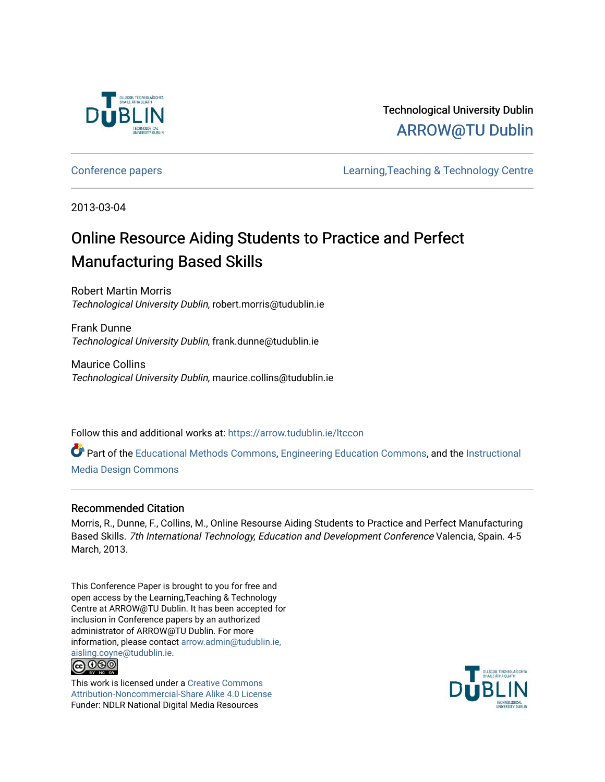

# Technological University Dublin [ARROW@TU Dublin](https://arrow.tudublin.ie/)

[Conference papers](https://arrow.tudublin.ie/ltccon) [Learning,Teaching & Technology Centre](https://arrow.tudublin.ie/ltc) 

2013-03-04

# Online Resource Aiding Students to Practice and Perfect Manufacturing Based Skills

Robert Martin Morris Technological University Dublin, robert.morris@tudublin.ie

Frank Dunne Technological University Dublin, frank.dunne@tudublin.ie

Maurice Collins Technological University Dublin, maurice.collins@tudublin.ie

Follow this and additional works at: [https://arrow.tudublin.ie/ltccon](https://arrow.tudublin.ie/ltccon?utm_source=arrow.tudublin.ie%2Fltccon%2F11&utm_medium=PDF&utm_campaign=PDFCoverPages)

Part of the [Educational Methods Commons,](http://network.bepress.com/hgg/discipline/1227?utm_source=arrow.tudublin.ie%2Fltccon%2F11&utm_medium=PDF&utm_campaign=PDFCoverPages) [Engineering Education Commons,](http://network.bepress.com/hgg/discipline/1191?utm_source=arrow.tudublin.ie%2Fltccon%2F11&utm_medium=PDF&utm_campaign=PDFCoverPages) and the [Instructional](http://network.bepress.com/hgg/discipline/795?utm_source=arrow.tudublin.ie%2Fltccon%2F11&utm_medium=PDF&utm_campaign=PDFCoverPages)  [Media Design Commons](http://network.bepress.com/hgg/discipline/795?utm_source=arrow.tudublin.ie%2Fltccon%2F11&utm_medium=PDF&utm_campaign=PDFCoverPages)

#### Recommended Citation

Morris, R., Dunne, F., Collins, M., Online Resourse Aiding Students to Practice and Perfect Manufacturing Based Skills. 7th International Technology, Education and Development Conference Valencia, Spain. 4-5 March, 2013.

This Conference Paper is brought to you for free and open access by the Learning,Teaching & Technology Centre at ARROW@TU Dublin. It has been accepted for inclusion in Conference papers by an authorized administrator of ARROW@TU Dublin. For more information, please contact [arrow.admin@tudublin.ie,](mailto:arrow.admin@tudublin.ie,%20aisling.coyne@tudublin.ie)  [aisling.coyne@tudublin.ie.](mailto:arrow.admin@tudublin.ie,%20aisling.coyne@tudublin.ie) **@** 00

This work is licensed under a [Creative Commons](http://creativecommons.org/licenses/by-nc-sa/4.0/) [Attribution-Noncommercial-Share Alike 4.0 License](http://creativecommons.org/licenses/by-nc-sa/4.0/) Funder: NDLR National Digital Media Resources

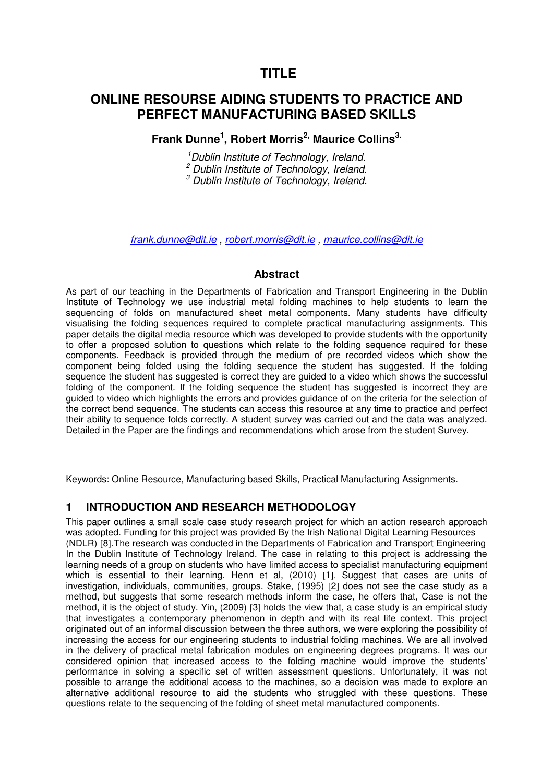# **TITLE**

# **ONLINE RESOURSE AIDING STUDENTS TO PRACTICE AND PERFECT MANUFACTURING BASED SKILLS**

**Frank Dunne<sup>1</sup> , Robert Morris2, Maurice Collins3.**

<sup>1</sup>Dublin Institute of Technology, Ireland. <sup>2</sup> Dublin Institute of Technology, Ireland.  $3$  Dublin Institute of Technology, Ireland.

frank.dunne@dit.ie , robert.morris@dit.ie , maurice.collins@dit.ie

#### **Abstract**

As part of our teaching in the Departments of Fabrication and Transport Engineering in the Dublin Institute of Technology we use industrial metal folding machines to help students to learn the sequencing of folds on manufactured sheet metal components. Many students have difficulty visualising the folding sequences required to complete practical manufacturing assignments. This paper details the digital media resource which was developed to provide students with the opportunity to offer a proposed solution to questions which relate to the folding sequence required for these components. Feedback is provided through the medium of pre recorded videos which show the component being folded using the folding sequence the student has suggested. If the folding sequence the student has suggested is correct they are guided to a video which shows the successful folding of the component. If the folding sequence the student has suggested is incorrect they are guided to video which highlights the errors and provides guidance of on the criteria for the selection of the correct bend sequence. The students can access this resource at any time to practice and perfect their ability to sequence folds correctly. A student survey was carried out and the data was analyzed. Detailed in the Paper are the findings and recommendations which arose from the student Survey.

Keywords: Online Resource, Manufacturing based Skills, Practical Manufacturing Assignments.

#### **1 INTRODUCTION AND RESEARCH METHODOLOGY**

This paper outlines a small scale case study research project for which an action research approach was adopted. Funding for this project was provided By the Irish National Digital Learning Resources (NDLR) [8].The research was conducted in the Departments of Fabrication and Transport Engineering In the Dublin Institute of Technology Ireland. The case in relating to this project is addressing the learning needs of a group on students who have limited access to specialist manufacturing equipment which is essential to their learning. Henn et al. (2010) [1]. Suggest that cases are units of investigation, individuals, communities, groups. Stake, (1995) [2] does not see the case study as a method, but suggests that some research methods inform the case, he offers that, Case is not the method, it is the object of study. Yin, (2009) [3] holds the view that, a case study is an empirical study that investigates a contemporary phenomenon in depth and with its real life context. This project originated out of an informal discussion between the three authors, we were exploring the possibility of increasing the access for our engineering students to industrial folding machines. We are all involved in the delivery of practical metal fabrication modules on engineering degrees programs. It was our considered opinion that increased access to the folding machine would improve the students' performance in solving a specific set of written assessment questions. Unfortunately, it was not possible to arrange the additional access to the machines, so a decision was made to explore an alternative additional resource to aid the students who struggled with these questions. These questions relate to the sequencing of the folding of sheet metal manufactured components.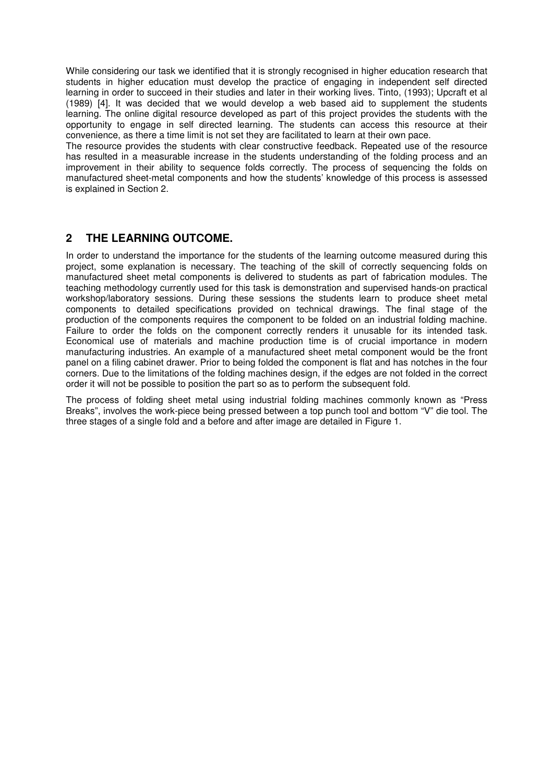While considering our task we identified that it is strongly recognised in higher education research that students in higher education must develop the practice of engaging in independent self directed learning in order to succeed in their studies and later in their working lives. Tinto, (1993); Upcraft et al (1989) [4]. It was decided that we would develop a web based aid to supplement the students learning. The online digital resource developed as part of this project provides the students with the opportunity to engage in self directed learning. The students can access this resource at their convenience, as there a time limit is not set they are facilitated to learn at their own pace.

The resource provides the students with clear constructive feedback. Repeated use of the resource has resulted in a measurable increase in the students understanding of the folding process and an improvement in their ability to sequence folds correctly. The process of sequencing the folds on manufactured sheet-metal components and how the students' knowledge of this process is assessed is explained in Section 2.

### **2 THE LEARNING OUTCOME.**

In order to understand the importance for the students of the learning outcome measured during this project, some explanation is necessary. The teaching of the skill of correctly sequencing folds on manufactured sheet metal components is delivered to students as part of fabrication modules. The teaching methodology currently used for this task is demonstration and supervised hands-on practical workshop/laboratory sessions. During these sessions the students learn to produce sheet metal components to detailed specifications provided on technical drawings. The final stage of the production of the components requires the component to be folded on an industrial folding machine. Failure to order the folds on the component correctly renders it unusable for its intended task. Economical use of materials and machine production time is of crucial importance in modern manufacturing industries. An example of a manufactured sheet metal component would be the front panel on a filing cabinet drawer. Prior to being folded the component is flat and has notches in the four corners. Due to the limitations of the folding machines design, if the edges are not folded in the correct order it will not be possible to position the part so as to perform the subsequent fold.

The process of folding sheet metal using industrial folding machines commonly known as "Press Breaks", involves the work-piece being pressed between a top punch tool and bottom "V" die tool. The three stages of a single fold and a before and after image are detailed in Figure 1.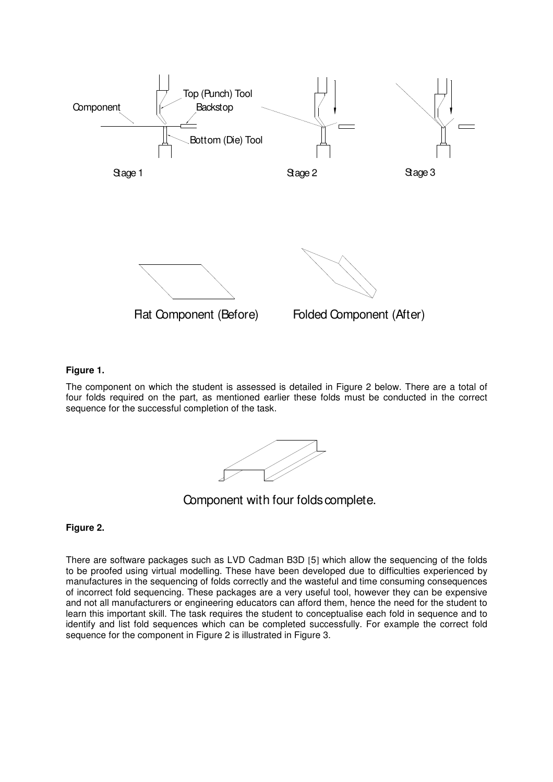

#### **Figure 1.**

The component on which the student is assessed is detailed in Figure 2 below. There are a total of four folds required on the part, as mentioned earlier these folds must be conducted in the correct sequence for the successful completion of the task.

Component with four folds complete.

#### **Figure 2.**

There are software packages such as LVD Cadman B3D [5] which allow the sequencing of the folds to be proofed using virtual modelling. These have been developed due to difficulties experienced by manufactures in the sequencing of folds correctly and the wasteful and time consuming consequences of incorrect fold sequencing. These packages are a very useful tool, however they can be expensive and not all manufacturers or engineering educators can afford them, hence the need for the student to learn this important skill. The task requires the student to conceptualise each fold in sequence and to identify and list fold sequences which can be completed successfully. For example the correct fold sequence for the component in Figure 2 is illustrated in Figure 3.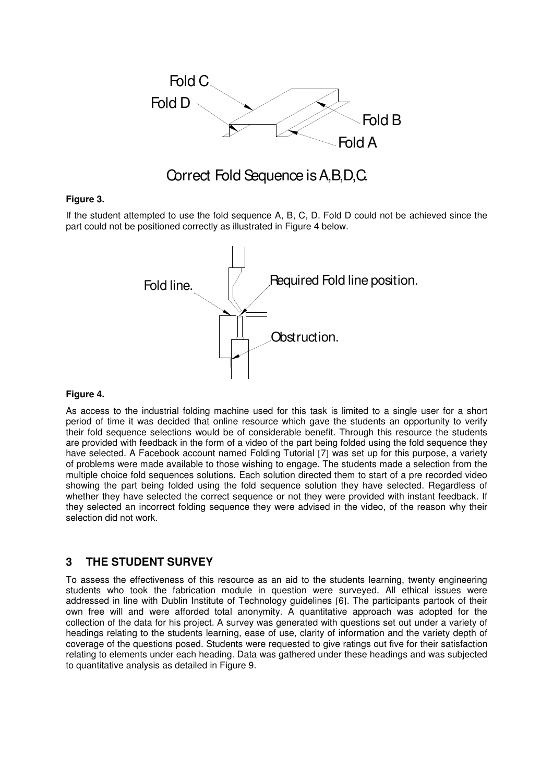

# Correct Fold Sequence is A,B,D,C.

#### **Figure 3.**

If the student attempted to use the fold sequence A, B, C, D. Fold D could not be achieved since the part could not be positioned correctly as illustrated in Figure 4 below.



#### **Figure 4.**

As access to the industrial folding machine used for this task is limited to a single user for a short period of time it was decided that online resource which gave the students an opportunity to verify their fold sequence selections would be of considerable benefit. Through this resource the students are provided with feedback in the form of a video of the part being folded using the fold sequence they have selected. A Facebook account named Folding Tutorial [7] was set up for this purpose, a variety of problems were made available to those wishing to engage. The students made a selection from the multiple choice fold sequences solutions. Each solution directed them to start of a pre recorded video showing the part being folded using the fold sequence solution they have selected. Regardless of whether they have selected the correct sequence or not they were provided with instant feedback. If they selected an incorrect folding sequence they were advised in the video, of the reason why their selection did not work.

#### **3 THE STUDENT SURVEY**

To assess the effectiveness of this resource as an aid to the students learning, twenty engineering students who took the fabrication module in question were surveyed. All ethical issues were addressed in line with Dublin Institute of Technology guidelines [6]. The participants partook of their own free will and were afforded total anonymity. A quantitative approach was adopted for the collection of the data for his project. A survey was generated with questions set out under a variety of headings relating to the students learning, ease of use, clarity of information and the variety depth of coverage of the questions posed. Students were requested to give ratings out five for their satisfaction relating to elements under each heading. Data was gathered under these headings and was subjected to quantitative analysis as detailed in Figure 9.